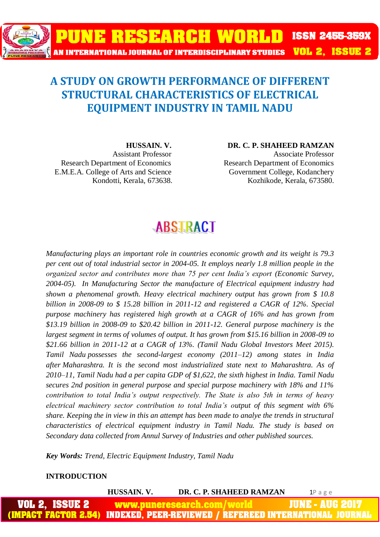

### **A STUDY ON GROWTH PERFORMANCE OF DIFFERENT STRUCTURAL CHARACTERISTICS OF ELECTRICAL EQUIPMENT INDUSTRY IN TAMIL NADU**

E.M.E.A. College of Arts and Science Government College, Kodanchery

**HUSSAIN. V. DR. C. P. SHAHEED RAMZAN** Assistant Professor Associate Professor Research Department of Economics Research Department of Economics Kondotti, Kerala, 673638. Kozhikode, Kerala, 673580.

## **ABSTRACT**

*Manufacturing plays an important role in countries economic growth and its weight is 79.3 per cent out of total industrial sector in 2004-05. It employs nearly 1.8 million people in the organized sector and contributes more than 75 per cent India's export (Economic Survey, 2004-05). In Manufacturing Sector the manufacture of Electrical equipment industry had shown a phenomenal growth. Heavy electrical machinery output has grown from \$ 10.8 billion in 2008-09 to \$ 15.28 billion in 2011-12 and registered a CAGR of 12%. Special purpose machinery has registered high growth at a CAGR of 16% and has grown from \$13.19 billion in 2008-09 to \$20.42 billion in 2011-12. General purpose machinery is the largest segment in terms of volumes of output. It has grown from \$15.16 billion in 2008-09 to \$21.66 billion in 2011-12 at a CAGR of 13%. (Tamil Nadu Global Investors Meet 2015). Tamil Nadu possesses the second-largest economy (2011–12) among states in India after Maharashtra. It is the second most industrialized state next to Maharashtra. As of 2010–11, Tamil Nadu had a per capita GDP of \$1,622, the sixth highest in India. Tamil Nadu secures 2nd position in general purpose and special purpose machinery with 18% and 11% contribution to total India's output respectively. The State is also 5th in terms of heavy electrical machinery sector contribution to total India's output of this segment with 6% share. Keeping the in view in this an attempt has been made to analye the trends in structural characteristics of electrical equipment industry in Tamil Nadu. The study is based on Secondary data collected from Annul Survey of Industries and other published sources.*

*Key Words: Trend, Electric Equipment Industry, Tamil Nadu*

#### **INTRODUCTION**

| HUSSAIN. V. | DR. C. P. SHAHEED RAMZAN                                                     | 1Page |
|-------------|------------------------------------------------------------------------------|-------|
|             | <b>VOL 2,ISSUE 2   www.puneresearch.com/world    JUNE - AUG 2017</b>         |       |
|             | (IMPACT FACTOR 2.54) INDEXED, PEER-REVIEWED / REFEREED INTERNATIONAL JOURNAL |       |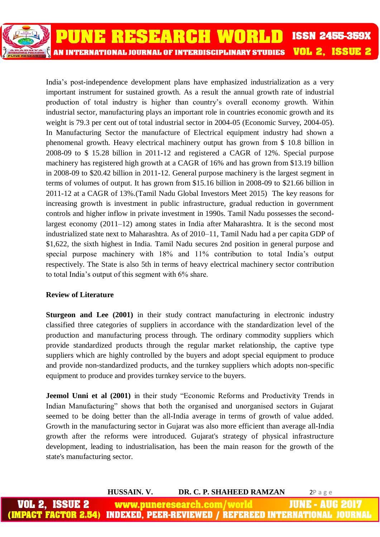

India's post-independence development plans have emphasized industrialization as a very important instrument for sustained growth. As a result the annual growth rate of industrial production of total industry is higher than country's overall economy growth. Within industrial sector, manufacturing plays an important role in countries economic growth and its weight is 79.3 per cent out of total industrial sector in 2004-05 (Economic Survey, 2004-05). In Manufacturing Sector the manufacture of Electrical equipment industry had shown a phenomenal growth. Heavy electrical machinery output has grown from \$ 10.8 billion in 2008-09 to \$ 15.28 billion in 2011-12 and registered a CAGR of 12%. Special purpose machinery has registered high growth at a CAGR of 16% and has grown from \$13.19 billion in 2008-09 to \$20.42 billion in 2011-12. General purpose machinery is the largest segment in terms of volumes of output. It has grown from \$15.16 billion in 2008-09 to \$21.66 billion in 2011-12 at a CAGR of 13%.(Tamil Nadu Global Investors Meet 2015) The key reasons for increasing growth is investment in public infrastructure, gradual reduction in government controls and higher inflow in private investment in 1990s. Tamil Nadu possesses the secondlargest economy (2011–12) among states in India after Maharashtra. It is the second most industrialized state next to Maharashtra. As of 2010–11, Tamil Nadu had a per capita GDP of \$1,622, the sixth highest in India. Tamil Nadu secures 2nd position in general purpose and special purpose machinery with 18% and 11% contribution to total India's output respectively. The State is also 5th in terms of heavy electrical machinery sector contribution to total India's output of this segment with 6% share.

#### **Review of Literature**

**Sturgeon and Lee (2001)** in their study contract manufacturing in electronic industry classified three categories of suppliers in accordance with the standardization level of the production and manufacturing process through. The ordinary commodity suppliers which provide standardized products through the regular market relationship, the captive type suppliers which are highly controlled by the buyers and adopt special equipment to produce and provide non-standardized products, and the turnkey suppliers which adopts non-specific equipment to produce and provides turnkey service to the buyers.

**Jeemol Unni et al (2001)** in their study "Economic Reforms and Productivity Trends in Indian Manufacturing" shows that both the organised and unorganised sectors in Gujarat seemed to be doing better than the all-India average in terms of growth of value added. Growth in the manufacturing sector in Gujarat was also more efficient than average all-India growth after the reforms were introduced. Gujarat's strategy of physical infrastructure development, leading to industrialisation, has been the main reason for the growth of the state's manufacturing sector.

**HUSSAIN. V. DR. C. P. SHAHEED RAMZAN** 2P a g e VOL 2. 18811 www.puneresearch.com IUNE -AUG IMPACT FACTOR **INDEXED. PEER-REVIEWED / REFEREED INTERNATIONAL**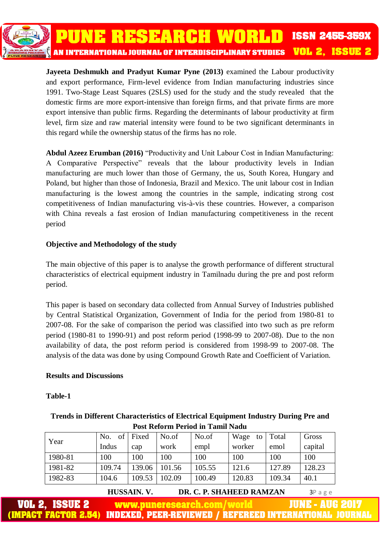PUNE RESEARCH WORLD **ISSN 2455-359X VOL 2, ISSUE 2** AN INTERNATIONAL JOURNAL OF INTERDISCIPLINARY STUDIES

**Jayeeta Deshmukh and Pradyut Kumar Pyne (2013)** examined the Labour productivity and export performance, Firm-level evidence from Indian manufacturing industries since 1991. Two-Stage Least Squares (2SLS) used for the study and the study revealed that the domestic firms are more export-intensive than foreign firms, and that private firms are more export intensive than public firms. Regarding the determinants of labour productivity at firm level, firm size and raw material intensity were found to be two significant determinants in this regard while the ownership status of the firms has no role.

**Abdul Azeez Erumban (2016)** "Productivity and Unit Labour Cost in Indian Manufacturing: A Comparative Perspective" reveals that the labour productivity levels in Indian manufacturing are much lower than those of Germany, the us, South Korea, Hungary and Poland, but higher than those of Indonesia, Brazil and Mexico. The unit labour cost in Indian manufacturing is the lowest among the countries in the sample, indicating strong cost competitiveness of Indian manufacturing vis-à-vis these countries. However, a comparison with China reveals a fast erosion of Indian manufacturing competitiveness in the recent period

#### **Objective and Methodology of the study**

The main objective of this paper is to analyse the growth performance of different structural characteristics of electrical equipment industry in Tamilnadu during the pre and post reform period.

This paper is based on secondary data collected from Annual Survey of Industries published by Central Statistical Organization, Government of India for the period from 1980-81 to 2007-08. For the sake of comparison the period was classified into two such as pre reform period (1980-81 to 1990-91) and post reform period (1998-99 to 2007-08). Due to the non availability of data, the post reform period is considered from 1998-99 to 2007-08. The analysis of the data was done by using Compound Growth Rate and Coefficient of Variation.

#### **Results and Discussions**

#### **Table-1**

| <b>Trends in Different Characteristics of Electrical Equipment Industry During Pre and</b> |
|--------------------------------------------------------------------------------------------|
| <b>Post Reform Period in Tamil Nadu</b>                                                    |

| Year    | of<br>No. | Fixed  | No.of  | No.of  | Wage<br>to | Total  | Gross   |
|---------|-----------|--------|--------|--------|------------|--------|---------|
|         | Indus     | cap    | work   | empl   | worker     | emol   | capital |
| 1980-81 | 100       | 100    | 100    | 100    | 100        | 100    | 100     |
| 1981-82 | 109.74    | 139.06 | 101.56 | 105.55 | 121.6      | 127.89 | 128.23  |
| 1982-83 | 104.6     | 109.53 | 102.09 | 100.49 | 120.83     | 109.34 | 40.1    |

**HUSSAIN. V. DR. C. P. SHAHEED RAMZAN** 3P a g e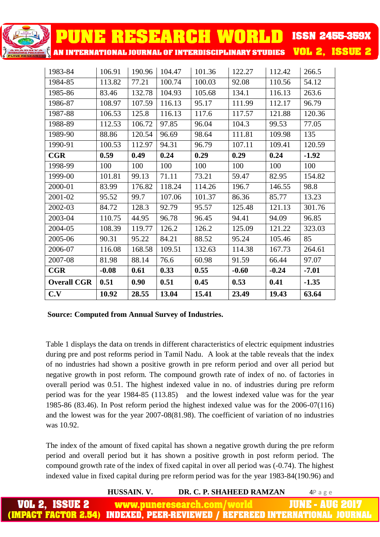| <b>PUNE RESEARCH WORLD</b>                            |         |        |        |        |         |         | <b>ISSN 2455-359X</b> |
|-------------------------------------------------------|---------|--------|--------|--------|---------|---------|-----------------------|
| AN INTERNATIONAL JOURNAL OF INTERDISCIPLINARY STUDIES |         |        |        |        |         |         | <b>VOL 2, ISSUE 2</b> |
| 1983-84                                               | 106.91  | 190.96 | 104.47 | 101.36 | 122.27  | 112.42  | 266.5                 |
| 1984-85                                               | 113.82  | 77.21  | 100.74 | 100.03 | 92.08   | 110.56  | 54.12                 |
| 1985-86                                               | 83.46   | 132.78 | 104.93 | 105.68 | 134.1   | 116.13  | 263.6                 |
| 1986-87                                               | 108.97  | 107.59 | 116.13 | 95.17  | 111.99  | 112.17  | 96.79                 |
| 1987-88                                               | 106.53  | 125.8  | 116.13 | 117.6  | 117.57  | 121.88  | 120.36                |
| 1988-89                                               | 112.53  | 106.72 | 97.85  | 96.04  | 104.3   | 99.53   | 77.05                 |
| 1989-90                                               | 88.86   | 120.54 | 96.69  | 98.64  | 111.81  | 109.98  | 135                   |
| 1990-91                                               | 100.53  | 112.97 | 94.31  | 96.79  | 107.11  | 109.41  | 120.59                |
| CGR                                                   | 0.59    | 0.49   | 0.24   | 0.29   | 0.29    | 0.24    | $-1.92$               |
| 1998-99                                               | 100     | 100    | 100    | 100    | 100     | 100     | 100                   |
| 1999-00                                               | 101.81  | 99.13  | 71.11  | 73.21  | 59.47   | 82.95   | 154.82                |
| 2000-01                                               | 83.99   | 176.82 | 118.24 | 114.26 | 196.7   | 146.55  | 98.8                  |
| 2001-02                                               | 95.52   | 99.7   | 107.06 | 101.37 | 86.36   | 85.77   | 13.23                 |
| 2002-03                                               | 84.72   | 128.3  | 92.79  | 95.57  | 125.48  | 121.13  | 301.76                |
| 2003-04                                               | 110.75  | 44.95  | 96.78  | 96.45  | 94.41   | 94.09   | 96.85                 |
| 2004-05                                               | 108.39  | 119.77 | 126.2  | 126.2  | 125.09  | 121.22  | 323.03                |
| 2005-06                                               | 90.31   | 95.22  | 84.21  | 88.52  | 95.24   | 105.46  | 85                    |
| 2006-07                                               | 116.08  | 168.58 | 109.51 | 132.63 | 114.38  | 167.73  | 264.61                |
| 2007-08                                               | 81.98   | 88.14  | 76.6   | 60.98  | 91.59   | 66.44   | 97.07                 |
| CGR                                                   | $-0.08$ | 0.61   | 0.33   | 0.55   | $-0.60$ | $-0.24$ | $-7.01$               |
| <b>Overall CGR</b>                                    | 0.51    | 0.90   | 0.51   | 0.45   | 0.53    | 0.41    | $-1.35$               |
| C.V                                                   | 10.92   | 28.55  | 13.04  | 15.41  | 23.49   | 19.43   | 63.64                 |

#### **Source: Computed from Annual Survey of Industries.**

Table 1 displays the data on trends in different characteristics of electric equipment industries during pre and post reforms period in Tamil Nadu. A look at the table reveals that the index of no industries had shown a positive growth in pre reform period and over all period but negative growth in post reform. The compound growth rate of index of no. of factories in overall period was 0.51. The highest indexed value in no. of industries during pre reform period was for the year 1984-85 (113.85) and the lowest indexed value was for the year 1985-86 (83.46). In Post reform period the highest indexed value was for the 2006-07(116) and the lowest was for the year 2007-08(81.98). The coefficient of variation of no industries was 10.92.

The index of the amount of fixed capital has shown a negative growth during the pre reform period and overall period but it has shown a positive growth in post reform period. The compound growth rate of the index of fixed capital in over all period was (-0.74). The highest indexed value in fixed capital during pre reform period was for the year 1983-84(190.96) and

|                                                  | HUSSAIN. V. | DR. C. P. SHAHEED RAMZAN | 4Page                                                                               |
|--------------------------------------------------|-------------|--------------------------|-------------------------------------------------------------------------------------|
| <b>VOL 2. ISSUE 2 www.puneresearch.com/world</b> |             |                          | <b>JUNE - AUG 2017</b>                                                              |
|                                                  |             |                          | <u>IMPACT FACTOR 2.54) INDEXED, PEER-REVIEWED / REFEREED INTERNATIONAL JOURNAL </u> |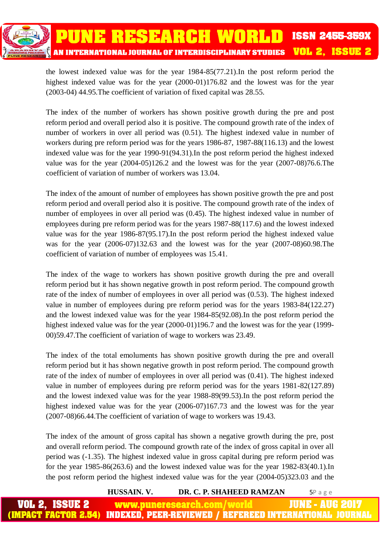

the lowest indexed value was for the year 1984-85(77.21).In the post reform period the highest indexed value was for the year  $(2000-01)176.82$  and the lowest was for the year (2003-04) 44.95.The coefficient of variation of fixed capital was 28.55.

The index of the number of workers has shown positive growth during the pre and post reform period and overall period also it is positive. The compound growth rate of the index of number of workers in over all period was (0.51). The highest indexed value in number of workers during pre reform period was for the years 1986-87, 1987-88(116.13) and the lowest indexed value was for the year 1990-91(94.31).In the post reform period the highest indexed value was for the year (2004-05)126.2 and the lowest was for the year (2007-08)76.6.The coefficient of variation of number of workers was 13.04.

The index of the amount of number of employees has shown positive growth the pre and post reform period and overall period also it is positive. The compound growth rate of the index of number of employees in over all period was (0.45). The highest indexed value in number of employees during pre reform period was for the years 1987-88(117.6) and the lowest indexed value was for the year 1986-87(95.17).In the post reform period the highest indexed value was for the year (2006-07)132.63 and the lowest was for the year (2007-08)60.98.The coefficient of variation of number of employees was 15.41.

The index of the wage to workers has shown positive growth during the pre and overall reform period but it has shown negative growth in post reform period. The compound growth rate of the index of number of employees in over all period was (0.53). The highest indexed value in number of employees during pre reform period was for the years 1983-84(122.27) and the lowest indexed value was for the year 1984-85(92.08).In the post reform period the highest indexed value was for the year  $(2000-01)196.7$  and the lowest was for the year (1999-00)59.47.The coefficient of variation of wage to workers was 23.49.

The index of the total emoluments has shown positive growth during the pre and overall reform period but it has shown negative growth in post reform period. The compound growth rate of the index of number of employees in over all period was (0.41). The highest indexed value in number of employees during pre reform period was for the years 1981-82(127.89) and the lowest indexed value was for the year 1988-89(99.53).In the post reform period the highest indexed value was for the year (2006-07)167.73 and the lowest was for the year (2007-08)66.44.The coefficient of variation of wage to workers was 19.43.

The index of the amount of gross capital has shown a negative growth during the pre, post and overall reform period. The compound growth rate of the index of gross capital in over all period was (-1.35). The highest indexed value in gross capital during pre reform period was for the year 1985-86(263.6) and the lowest indexed value was for the year 1982-83(40.1).In the post reform period the highest indexed value was for the year (2004-05)323.03 and the

**HUSSAIN. V. DR. C. P. SHAHEED RAMZAN** 5P a g e

**JUNE - AUG 2** www.puneresearch.com/ **IMPACT FACTOR 2.54)** INDEXED, PEER-REVIEWED / REFEREED INTERNATIONAL JO